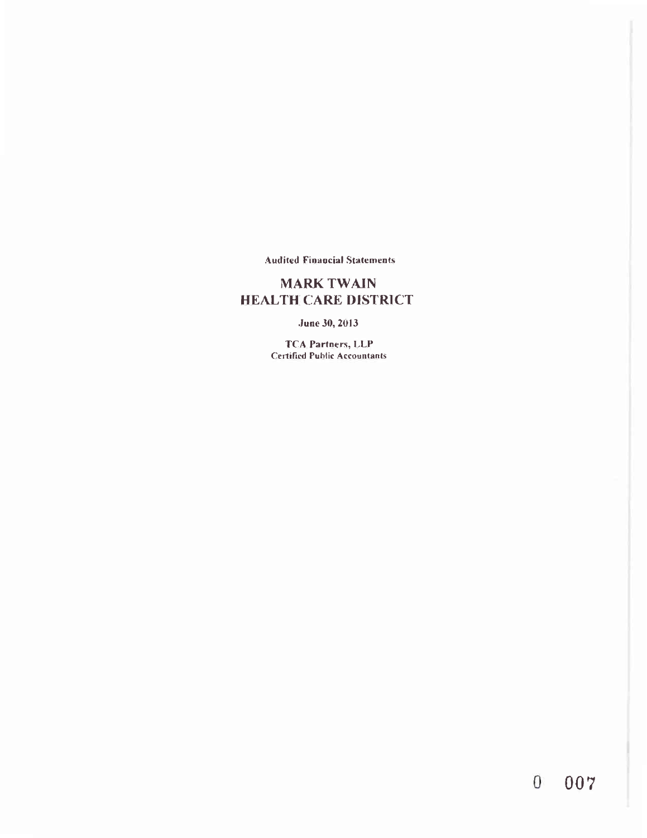**Audited Financial Statements** 

# **MARK TWAIN HEALTH CARE DISTRICT**

June 30, 2013

**TCA Partners, LLP**<br>Certified Public Accountants

 $0$  007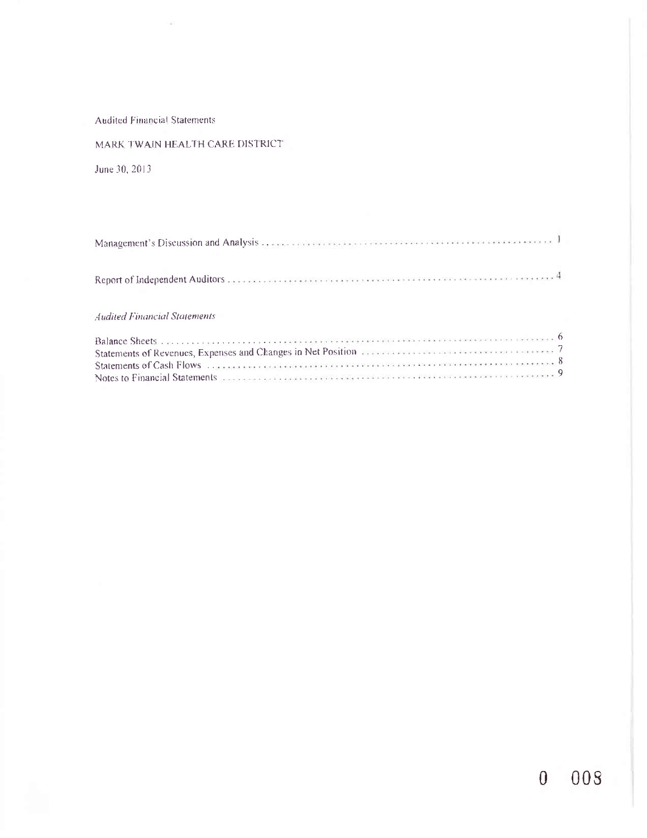#### **Audited Financial Statements**

 $\omega$ 

#### MARK TWAIN HEALTH CARE DISTRICT

June 30, 2013

|--|

|--|--|--|

#### **Audited Financial Statements**

| Statements of Revenues, Expenses and Changes in Net Position 2000 and the contract of the contract of 7 |  |
|---------------------------------------------------------------------------------------------------------|--|
|                                                                                                         |  |
| Notes to Financial Statements                                                                           |  |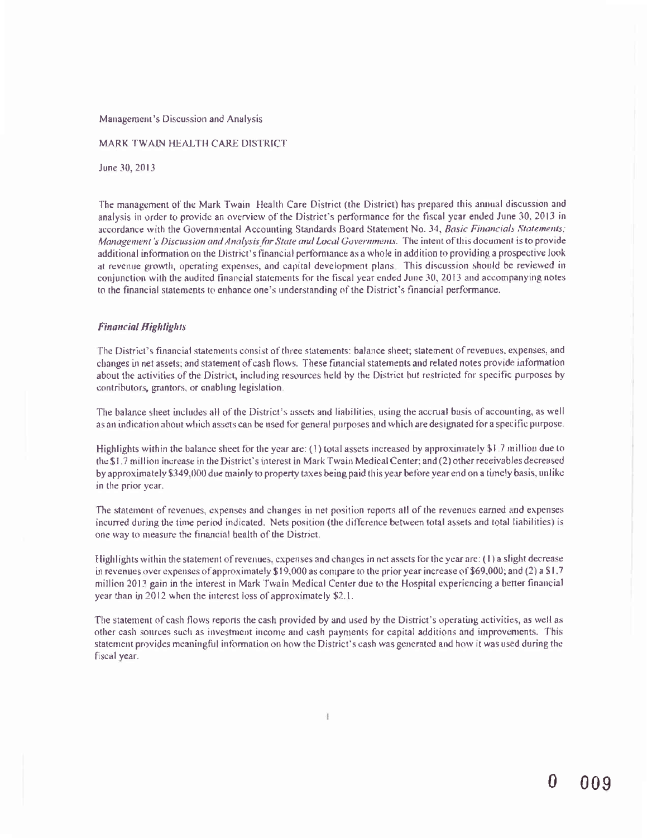#### Management's Discussion and Analysis

#### MARK TWAIN HEALTH CARE DISTRICT

June 30, 2013

The management of the Mark Twain Health Care District (the District) has prepared this annual discussion and analysis in order to provide an overview of the District's performance for the fiscal year ended June 30, 2013 in accordance with the Governmental Accounting Standards Board Statement No. 34, Basic Financials Statements; Management's Discussion and Analysis for State and Local Governments. The intent of this document is to provide additional information on the District's financial performance as a whole in addition to providing a prospective look at revenue growth, operating expenses, and capital development plans. This discussion should be reviewed in conjunction with the audited financial statements for the fiscal year ended June 30, 2013 and accompanying notes to the financial statements to enhance one's understanding of the District's financial performance.

#### **Financial Highlights**

The District's financial statements consist of three statements: balance sheet; statement of revenues, expenses, and changes in net assets; and statement of cash flows. These financial statements and related notes provide information about the activities of the District, including resources held by the District but restricted for specific purposes by contributors, grantors, or enabling legislation.

The balance sheet includes all of the District's assets and liabilities, using the accrual basis of accounting, as well as an indication about which assets can be used for general purposes and which are designated for a specific purpose.

Highlights within the balance sheet for the year are: (1) total assets increased by approximately \$1.7 million due to the \$1.7 million increase in the District's interest in Mark Twain Medical Center; and (2) other receivables decreased by approximately \$349,000 due mainly to property taxes being paid this year before year end on a timely basis, unlike in the prior year.

The statement of revenues, expenses and changes in net position reports all of the revenues earned and expenses incurred during the time period indicated. Nets position (the difference between total assets and total liabilities) is one way to measure the financial bealth of the District.

Highlights within the statement of revenues, expenses and changes in net assets for the year are: (1) a slight decrease in revenues over expenses of approximately  $$19,000$  as compare to the prior year increase of  $$69,000$ ; and (2) a  $$1.7$ million 2013 gain in the interest in Mark Twain Medical Center due to the Hospital experiencing a better financial year than in 2012 when the interest loss of approximately \$2.1.

The statement of cash flows reports the cash provided by and used by the District's operating activities, as well as other cash sources such as investment income and cash payments for capital additions and improvements. This statement provides meaningful information on how the District's cash was generated and how it was used during the fiscal year.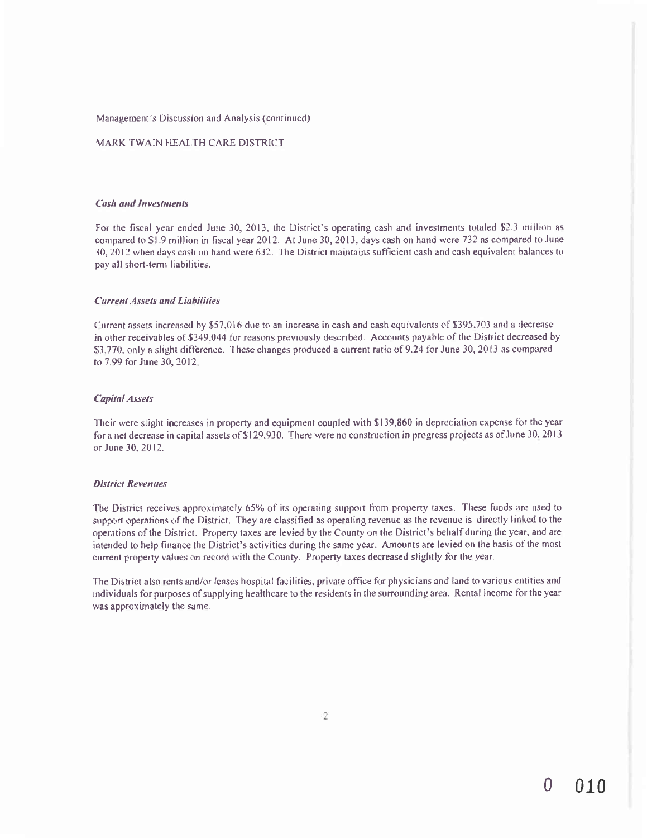#### Management's Discussion and Analysis (continued)

#### MARK TWAIN HEALTH CARE DISTRICT

#### **Cash and Investments**

For the fiscal year ended June 30, 2013, the District's operating cash and investments totaled \$2.3 million as compared to \$1.9 million in fiscal year 2012. At June 30, 2013, days cash on hand were 732 as compared to June 30, 2012 when days cash on hand were 632. The District maintains sufficient cash and cash equivalent balances to pay all short-term liabilities.

#### **Current Assets and Liabilities**

Current assets increased by \$57,016 due to an increase in cash and cash equivalents of \$395,703 and a decrease in other receivables of \$349,044 for reasons previously described. Accounts payable of the District decreased by \$3,770, only a slight difference. These changes produced a current ratio of 9.24 for June 30, 2013 as compared to 7.99 for June 30, 2012.

#### **Capital Assets**

Their were slight increases in property and equipment coupled with \$139,860 in depreciation expense for the year for a net decrease in capital assets of \$129,930. There were no construction in progress projects as of June 30, 2013 or June 30, 2012.

#### **District Revenues**

The District receives approximately 65% of its operating support from property taxes. These funds are used to support operations of the District. They are classified as operating revenue as the revenue is directly linked to the operations of the District. Property taxes are levied by the County on the District's behalf during the year, and are intended to help finance the District's activities during the same year. Amounts are levied on the basis of the most current property values on record with the County. Property taxes decreased slightly for the year.

The District also rents and/or leases hospital facilities, private office for physicians and land to various entities and individuals for purposes of supplying healthcare to the residents in the surrounding area. Rental income for the year was approximately the same.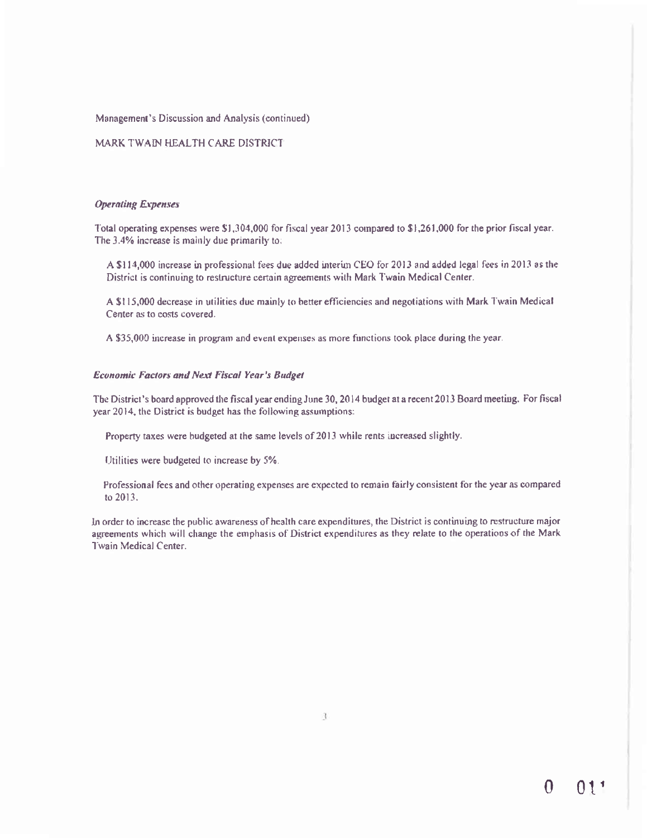#### Management's Discussion and Analysis (continued)

#### MARK TWAIN HEALTH CARE DISTRICT

#### **Operating Expenses**

Total operating expenses were \$1,304,000 for fiscal year 2013 compared to \$1,261,000 for the prior fiscal year. The 3.4% increase is mainly due primarily to:

A \$114,000 increase in professional fees due added interim CEO for 2013 and added legal fees in 2013 as the District is continuing to restructure certain agreements with Mark Twain Medical Center.

A \$115,000 decrease in utilities due mainly to better efficiencies and negotiations with Mark Twain Medical Center as to costs covered.

A \$35,000 increase in program and event expenses as more functions took place during the year.

#### **Economic Factors and Next Fiscal Year's Budget**

The District's board approved the fiscal year ending June 30, 2014 budget at a recent 2013 Board meeting. For fiscal year 2014, the District is budget has the following assumptions:

Property taxes were budgeted at the same levels of 2013 while rents increased slightly.

Utilities were budgeted to increase by 5%.

Professional fees and other operating expenses are expected to remain fairly consistent for the year as compared to 2013.

In order to increase the public awareness of health care expenditures, the District is continuing to restructure major agreements which will change the emphasis of District expenditures as they relate to the operations of the Mark Twain Medical Center.

#### $\theta$  $011$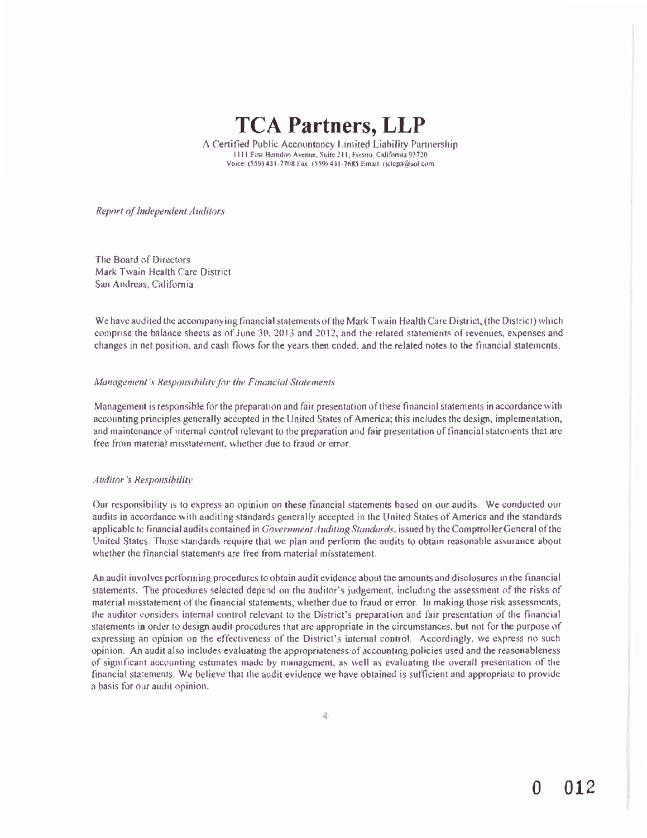# **TCA Partners, LLP**

A Certified Public Accountancy Limited Liability Partnership 1111 East Herndon Avenue, Suite 211, Fresno, California 93720. Voice (559) 431-7708 Fax: (559) 431-7685 Email: rictepa@aol.com

**Report of Independent Auditors** 

The Board of Directors Mark Twain Health Care District San Andreas, California

We have audited the accompanying financial statements of the Mark Twain Health Care District, (the District) which comprise the balance sheets as of June 30, 2013 and 2012, and the related statements of revenues, expenses and changes in net position, and cash flows for the years then ended, and the related notes to the financial statements.

#### Management's Responsibility for the Financial Statements

Management is responsible for the preparation and fair presentation of these financial statements in accordance with accounting principles generally accepted in the United States of America; this includes the design, implementation, and maintenance of internal control relevant to the preparation and fair presentation of financial statements that are free from material misstatement, whether due to fraud or error.

#### **Auditor's Responsibility**

Our responsibility is to express an opinion on these financial statements based on our audits. We conducted our audits in accordance with auditing standards generally accepted in the United States of America and the standards applicable to financial audits contained in Government Auditing Standards, issued by the Comptroller General of the United States. Those standards require that we plan and perform the audits to obtain reasonable assurance about whether the financial statements are free from material misstatement.

An audit involves performing procedures to obtain audit evidence about the amounts and disclosures in the financial statements. The procedures selected depend on the auditor's judgement, including the assessment of the risks of material misstatement of the financial statements, whether due to fraud or error. In making those risk assessments, the auditor considers internal control relevant to the District's preparation and fair presentation of the financial statements in order to design audit procedures that are appropriate in the circumstances, but not for the purpose of expressing an opinion on the effectiveness of the District's internal control. Accordingly, we express no such opinion. An audit also includes evaluating the appropriateness of accounting policies used and the reasonableness of significant accounting estimates made by management, as well as evaluating the overall presentation of the financial statements. We believe that the audit evidence we have obtained is sufficient and appropriate to provide a basis for our audit opinion.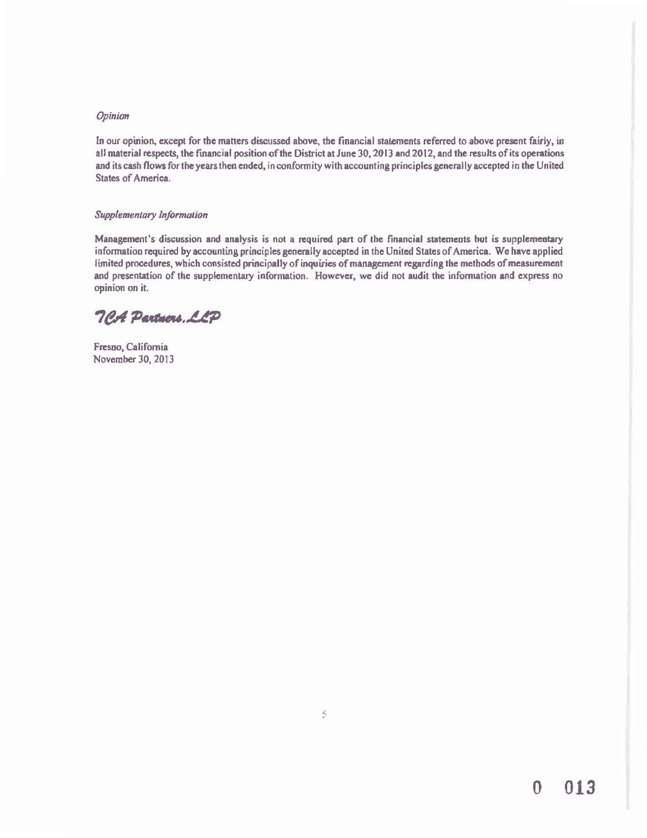#### Opinion

In our opinion, except for the matters discussed above, the financial statements referred to above present fairly, in all material respects, the financial position of the District at June 30, 2013 and 2012, and the results of its operations and its cash flows for the years then ended, in conformity with accounting principles generally accepted in the United **States of America.** 

#### **Supplementary Information**

Management's discussion and analysis is not a required part of the financial statements but is supplementary information required by accounting principles generally accepted in the United States of America. We have applied limited procedures, which consisted principally of inquiries of management regarding the methods of measurement and presentation of the supplementary information. However, we did not audit the information and express no opinion on it.

**7CA Partners. LLP** 

Fresno, California November 30, 2013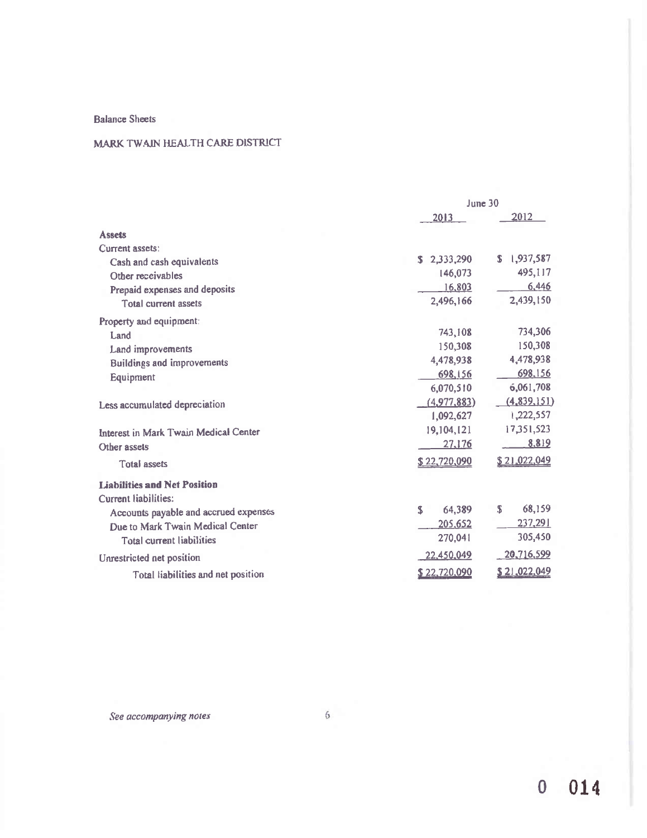#### **Balance Sheets**

# MARK TWAIN HEALTH CARE DISTRICT

|                                       | June 30      |                           |
|---------------------------------------|--------------|---------------------------|
|                                       | 2013         | 2012                      |
| <b>Assets</b>                         |              |                           |
| Current assets:                       |              |                           |
| Cash and cash equivalents             | \$2,333,290  | 1,937,587<br>$\mathbf{s}$ |
| Other receivables                     | 146,073      | 495,117                   |
| Prepaid expenses and deposits         | 16.803       | 6,446                     |
| <b>Total current assets</b>           | 2,496,166    | 2,439,150                 |
| Property and equipment:               |              |                           |
| Land                                  | 743.108      | 734,306                   |
| Land improvements                     | 150,308      | 150,308                   |
| Buildings and improvements            | 4,478,938    | 4,478,938                 |
| Equipment                             | 698,156      | 698,156                   |
|                                       | 6,070,510    | 6,061,708                 |
| Less accumulated depreciation         | (4,977,883)  | (4,839,151)               |
|                                       | 1,092,627    | 1,222,557                 |
| Interest in Mark Twain Medical Center | 19,104,121   | 17,351,523                |
| Other assets                          | 27,176       | 8,819                     |
| <b>Total assets</b>                   | \$22,720,090 | \$21,022,049              |
| <b>Liabilities and Net Position</b>   |              |                           |
| Current liabilities:                  |              |                           |
| Accounts payable and accrued expenses | 64,389<br>S  | 68,159<br>S               |
| Due to Mark Twain Medical Center      | 205.652      | 237,291                   |
| <b>Total current liabilities</b>      | 270,041      | 305,450                   |
| Unrestricted net position             | 22,450,049   | 20,716,599                |
| Total liabilities and net position    | \$22,720,090 | \$21,022,049              |

See accompanying notes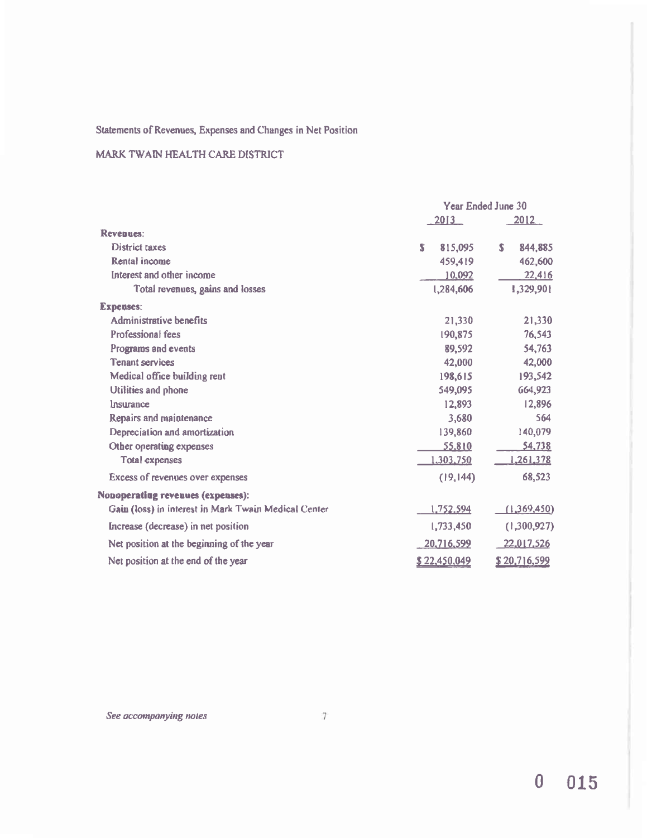## Statements of Revenues, Expenses and Changes in Net Position

## MARK TWAIN HEALTH CARE DISTRICT

|                                                      | Year Ended June 30 |               |
|------------------------------------------------------|--------------------|---------------|
|                                                      | $-2013$            | 2012          |
| <b>Revenues:</b>                                     |                    |               |
| <b>District taxes</b>                                | \$<br>815.095      | 844,885<br>S. |
| Rental income                                        | 459,419            | 462,600       |
| Interest and other income                            | 10,092             | 22,416        |
| Total revenues, gains and losses                     | 1,284,606          | 1,329,901     |
| <b>Expenses:</b>                                     |                    |               |
| <b>Administrative benefits</b>                       | 21,330             | 21,330        |
| <b>Professional fees</b>                             | 190.875            | 76,543        |
| Programs and events                                  | 89,592             | 54,763        |
| <b>Tenant services</b>                               | 42,000             | 42,000        |
| Medical office building rent                         | 198,615            | 193,542       |
| Utilities and phone                                  | 549,095            | 664,923       |
| Insurance                                            | 12,893             | 12,896        |
| Repairs and maintenance                              | 3,680              | 564           |
| Depreciation and amortization                        | 139,860            | 140,079       |
| Other operating expenses                             | 55,810             | 54,738        |
| <b>Total expenses</b>                                | 1,303,750          | 1,261,378     |
| Excess of revenues over expenses                     | (19, 144)          | 68,523        |
| <b>Nonoperating revenues (expenses):</b>             |                    |               |
| Gain (loss) in interest in Mark Twain Medical Center | 1,752.594          | (1,369,450)   |
| Increase (decrease) in net position                  | 1,733,450          | (1,300,927)   |
| Net position at the beginning of the year            | 20,716,599         | 22,017.526    |
| Net position at the end of the year                  | \$22,450,049       | \$20,716,599  |

See accompanying notes